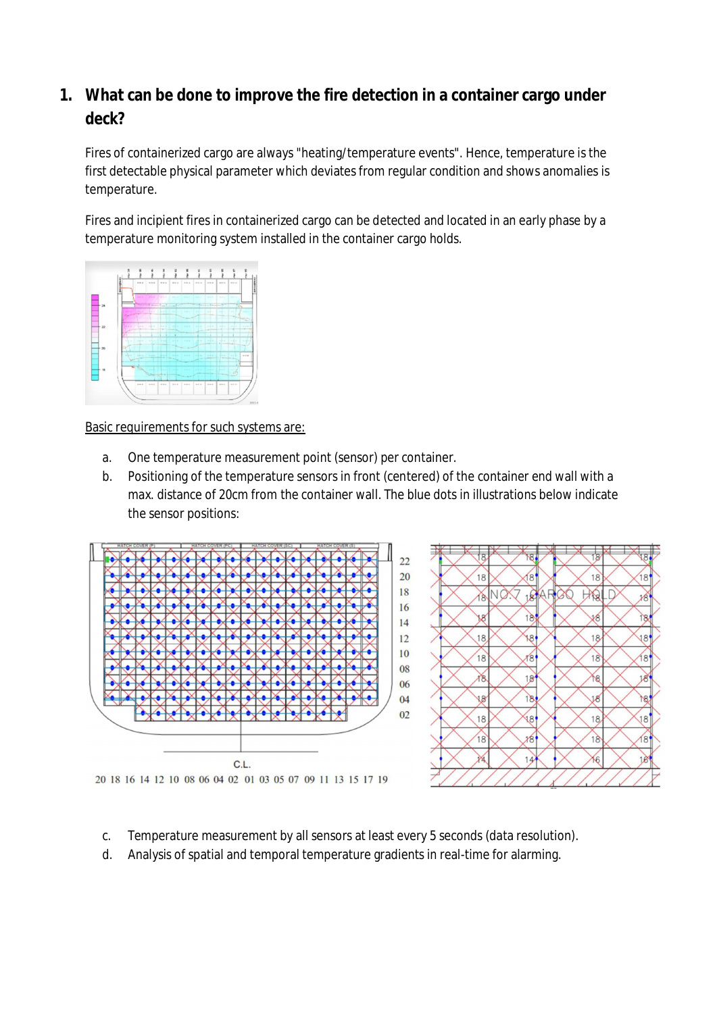# **1. What can be done to improve the fire detection in a container cargo under deck?**

Fires of containerized cargo are always "heating/temperature events". Hence, temperature is the first detectable physical parameter which deviates from regular condition and shows anomalies is temperature.

Fires and incipient fires in containerized cargo can be detected and located in an early phase by a temperature monitoring system installed in the container cargo holds.



Basic requirements for such systems are:

- a. One temperature measurement point (sensor) per container.
- b. Positioning of the temperature sensors in front (centered) of the container end wall with a max. distance of 20cm from the container wall. The blue dots in illustrations below indicate the sensor positions:





- c. Temperature measurement by all sensors at least every 5 seconds (data resolution).
- d. Analysis of spatial and temporal temperature gradients in real-time for alarming.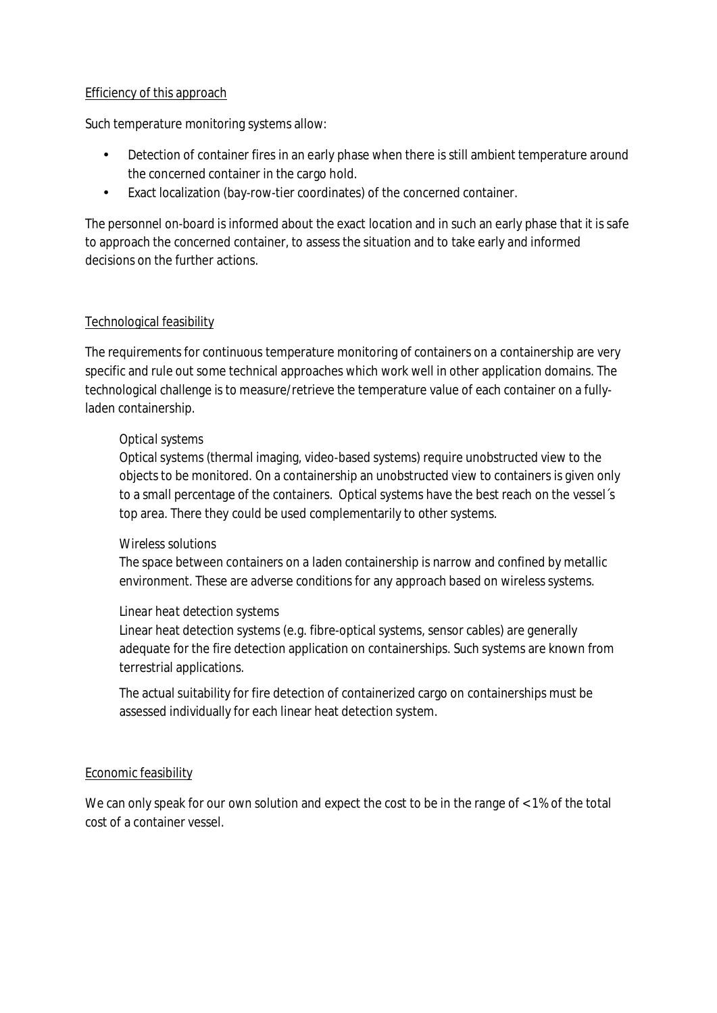#### Efficiency of this approach

Such temperature monitoring systems allow:

- Detection of container fires in an early phase when there is still ambient temperature around the concerned container in the cargo hold.
- Exact localization (bay-row-tier coordinates) of the concerned container.

The personnel on-board is informed about the exact location and in such an early phase that it is safe to approach the concerned container, to assess the situation and to take early and informed decisions on the further actions.

#### Technological feasibility

The requirements for continuous temperature monitoring of containers on a containership are very specific and rule out some technical approaches which work well in other application domains. The technological challenge is to measure/retrieve the temperature value of each container on a fullyladen containership.

#### *Optical systems*

Optical systems (thermal imaging, video-based systems) require unobstructed view to the objects to be monitored. On a containership an unobstructed view to containers is given only to a small percentage of the containers. Optical systems have the best reach on the vessel´s top area. There they could be used complementarily to other systems.

#### *Wireless solutions*

The space between containers on a laden containership is narrow and confined by metallic environment. These are adverse conditions for any approach based on wireless systems.

#### *Linear heat detection systems*

Linear heat detection systems (e.g. fibre-optical systems, sensor cables) are generally adequate for the fire detection application on containerships. Such systems are known from terrestrial applications.

The actual suitability for fire detection of containerized cargo on containerships must be assessed individually for each linear heat detection system.

#### Economic feasibility

We can only speak for our own solution and expect the cost to be in the range of < 1% of the total cost of a container vessel.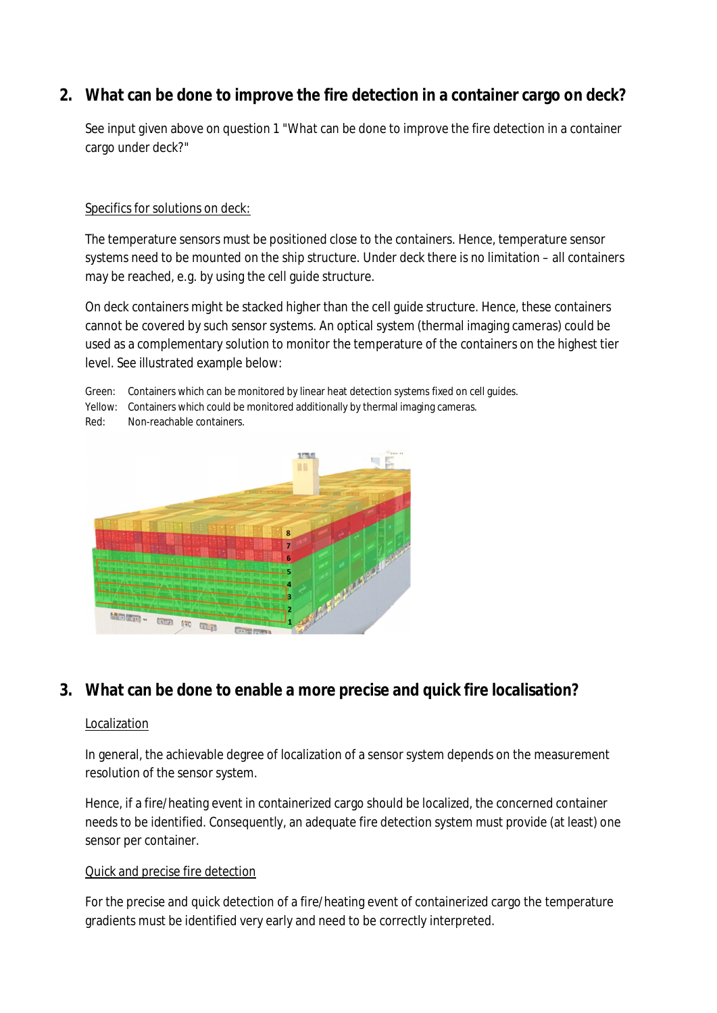**2. What can be done to improve the fire detection in a container cargo on deck?**

See input given above on question 1 "What can be done to improve the fire detection in a container cargo under deck?"

## Specifics for solutions on deck:

The temperature sensors must be positioned close to the containers. Hence, temperature sensor systems need to be mounted on the ship structure. Under deck there is no limitation – all containers may be reached, e.g. by using the cell guide structure.

On deck containers might be stacked higher than the cell guide structure. Hence, these containers cannot be covered by such sensor systems. An optical system (thermal imaging cameras) could be used as a complementary solution to monitor the temperature of the containers on the highest tier level. See illustrated example below:

Green: Containers which can be monitored by linear heat detection systems fixed on cell guides.

Yellow: Containers which could be monitored additionally by thermal imaging cameras.

Red: Non-reachable containers.



## **3. What can be done to enable a more precise and quick fire localisation?**

## Localization

In general, the achievable degree of localization of a sensor system depends on the measurement resolution of the sensor system.

Hence, if a fire/heating event in containerized cargo should be localized, the concerned container needs to be identified. Consequently, an adequate fire detection system must provide (at least) one sensor per container.

## Quick and precise fire detection

For the precise and quick detection of a fire/heating event of containerized cargo the temperature gradients must be identified very early and need to be correctly interpreted.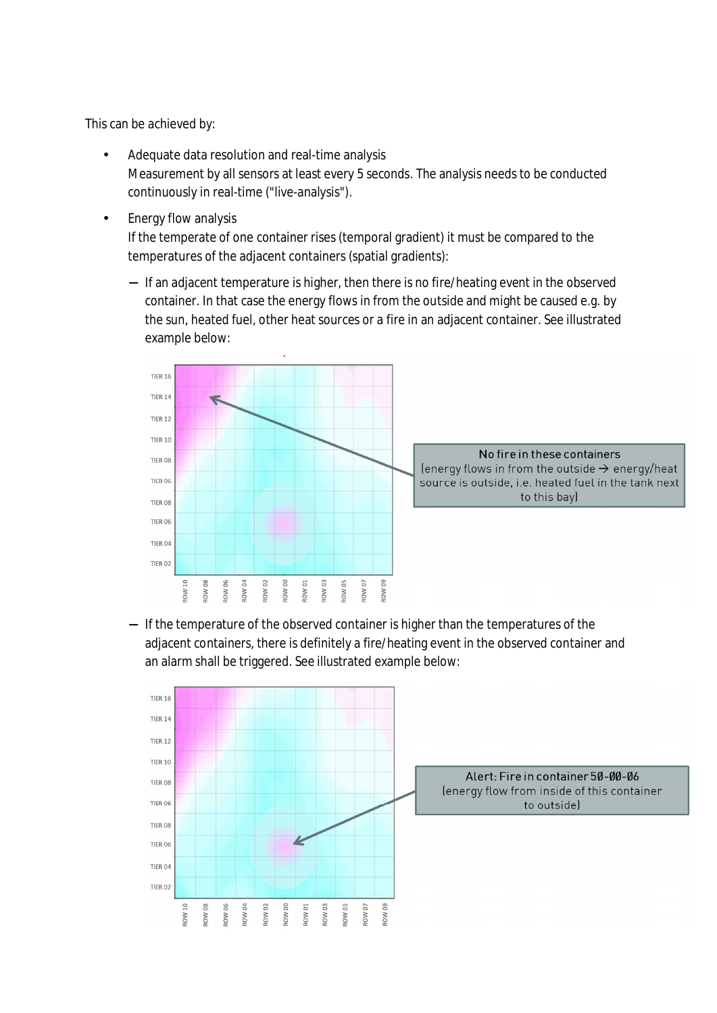This can be achieved by:

- Adequate data resolution and real-time analysis Measurement by all sensors at least every 5 seconds. The analysis needs to be conducted continuously in real-time ("live-analysis").
- Energy flow analysis

If the temperate of one container rises (temporal gradient) it must be compared to the temperatures of the adjacent containers (spatial gradients):

- If an adjacent temperature is higher, then there is no fire/heating event in the observed container. In that case the energy flows in from the outside and might be caused e.g. by the sun, heated fuel, other heat sources or a fire in an adjacent container. See illustrated example below:



- If the temperature of the observed container is higher than the temperatures of the adjacent containers, there is definitely a fire/heating event in the observed container and an alarm shall be triggered. See illustrated example below: